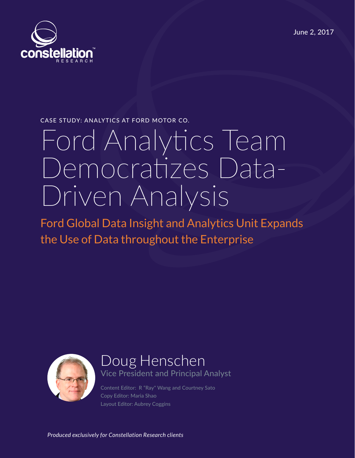June 2, 2017



CASE STUDY: ANALYTICS AT FORD MOTOR CO.

# Ford Analytics Team Democratzes Data-Driven Analysis

Ford Global Data Insight and Analytics Unit Expands the Use of Data throughout the Enterprise



Doug Henschen Vice President and Principal Analyst

Content Editor: R "Ray" Wang and Courtney Sato Copy Editor: Maria Shao Layout Editor: Aubrey Coggins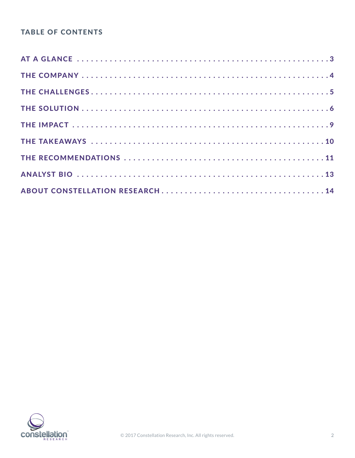#### **TABLE OF CONTENTS**

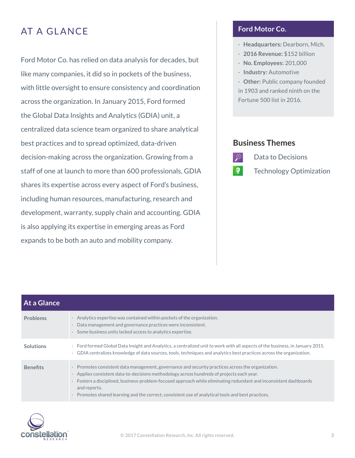# <span id="page-2-0"></span>AT A GLANCE

Ford Motor Co. has relied on data analysis for decades, but like many companies, it did so in pockets of the business, with little oversight to ensure consistency and coordination across the organization. In January 2015, Ford formed the Global Data Insights and Analytics (GDIA) unit, a centralized data science team organized to share analytical best practices and to spread optimized, data-driven decision-making across the organization. Growing from a staff of one at launch to more than 600 professionals, GDIA shares its expertise across every aspect of Ford's business, including human resources, manufacturing, research and development, warranty, supply chain and accounting. GDIA is also applying its expertise in emerging areas as Ford expands to be both an auto and mobility company.

#### **Ford Motor Co.**

- · **Headquarters:** Dearborn, Mich.
- · **2016 Revenue:** \$152 billion
- · **No. Employees:** 201,000
- · **Industry:** Automotive

· **Other:** Public company founded in 1903 and ranked ninth on the Fortune 500 list in 2016.

#### **Business Themes**



- Data to Decisions
- Technology Optimization

| At a Glance      |                                                                                                                                                                                                                                                                                                                                                                                                                                                                      |
|------------------|----------------------------------------------------------------------------------------------------------------------------------------------------------------------------------------------------------------------------------------------------------------------------------------------------------------------------------------------------------------------------------------------------------------------------------------------------------------------|
| <b>Problems</b>  | Analytics expertise was contained within pockets of the organization.<br>Data management and governance practices were inconsistent.<br>Some business units lacked access to analytics expertise.<br>$\bullet$                                                                                                                                                                                                                                                       |
| <b>Solutions</b> | Ford formed Global Data Insight and Analytics, a centralized unit to work with all aspects of the business, in January 2015.<br>GDIA centralizes knowledge of data sources, tools, techniques and analytics best practices across the organization.<br>$\bullet$                                                                                                                                                                                                     |
| <b>Benefits</b>  | $\cdot$ Promotes consistent data management, governance and security practices across the organization.<br>Applies consistent data-to-decisions methodology across hundreds of projects each year.<br>Fosters a disciplined, business-problem-focused approach while eliminating redundant and inconsistent dashboards<br>$\bullet$<br>and reports.<br>Promotes shared learning and the correct, consistent use of analytical tools and best practices.<br>$\bullet$ |

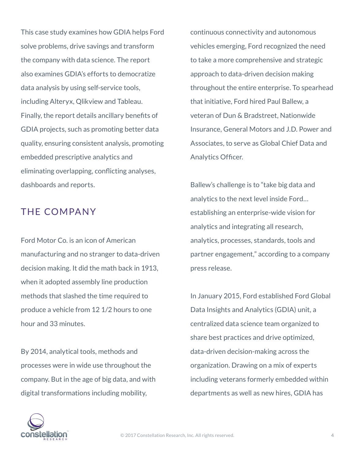<span id="page-3-0"></span>This case study examines how GDIA helps Ford solve problems, drive savings and transform the company with data science. The report also examines GDIA's efforts to democratize data analysis by using self-service tools, including Alteryx, Qlikview and Tableau. Finally, the report details ancillary benefts of GDIA projects, such as promoting better data quality, ensuring consistent analysis, promoting embedded prescriptive analytics and eliminating overlapping, conficting analyses, dashboards and reports.

### THE COMPANY

Ford Motor Co. is an icon of American manufacturing and no stranger to data-driven decision making. It did the math back in 1913, when it adopted assembly line production methods that slashed the time required to produce a vehicle from 12 1/2 hours to one hour and 33 minutes.

By 2014, analytical tools, methods and processes were in wide use throughout the company. But in the age of big data, and with digital transformations including mobility,

continuous connectivity and autonomous vehicles emerging, Ford recognized the need to take a more comprehensive and strategic approach to data-driven decision making throughout the entire enterprise. To spearhead that initiative, Ford hired Paul Ballew, a veteran of Dun & Bradstreet, Nationwide Insurance, General Motors and J.D. Power and Associates, to serve as Global Chief Data and Analytics Offcer.

Ballew's challenge is to "take big data and analytics to the next level inside Ford… establishing an enterprise-wide vision for analytics and integrating all research, analytics, processes, standards, tools and partner engagement," according to a company press release.

In January 2015, Ford established Ford Global Data Insights and Analytics (GDIA) unit, a centralized data science team organized to share best practices and drive optimized, data-driven decision-making across the organization. Drawing on a mix of experts including veterans formerly embedded within departments as well as new hires, GDIA has

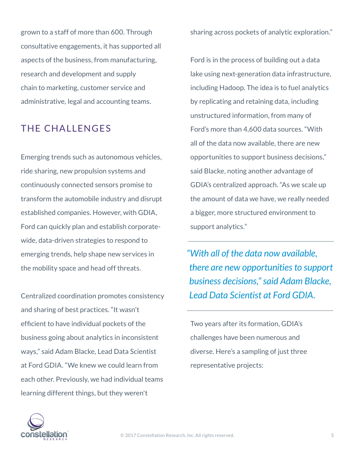<span id="page-4-0"></span>grown to a staff of more than 600. Through consultative engagements, it has supported all aspects of the business, from manufacturing, research and development and supply chain to marketing, customer service and administrative, legal and accounting teams.

# THE CHALLENGES

Emerging trends such as autonomous vehicles, ride sharing, new propulsion systems and continuously connected sensors promise to transform the automobile industry and disrupt established companies. However, with GDIA, Ford can quickly plan and establish corporatewide, data-driven strategies to respond to emerging trends, help shape new services in the mobility space and head off threats.

Centralized coordination promotes consistency and sharing of best practices. "It wasn't effcient to have individual pockets of the business going about analytics in inconsistent ways," said Adam Blacke, Lead Data Scientist at Ford GDIA. "We knew we could learn from each other. Previously, we had individual teams learning different things, but they weren't

sharing across pockets of analytic exploration."

Ford is in the process of building out a data lake using next-generation data infrastructure, including Hadoop. The idea is to fuel analytics by replicating and retaining data, including unstructured information, from many of Ford's more than 4,600 data sources. "With all of the data now available, there are new opportunities to support business decisions," said Blacke, noting another advantage of GDIA's centralized approach. "As we scale up the amount of data we have, we really needed a bigger, more structured environment to support analytics."

*"With all of the data now available, there are new opportunities to support business decisions," said Adam Blacke, Lead Data Scientist at Ford GDIA.*

Two years after its formation, GDIA's challenges have been numerous and diverse. Here's a sampling of just three representative projects:

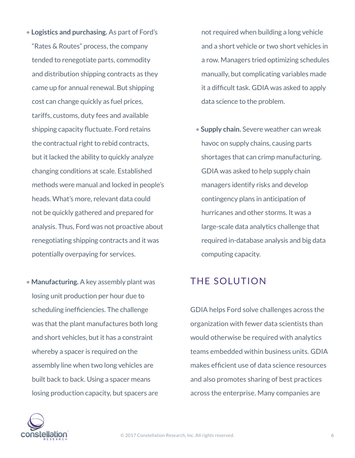- <span id="page-5-0"></span>• **Logistics and purchasing.** As part of Ford's "Rates & Routes" process, the company tended to renegotiate parts, commodity and distribution shipping contracts as they came up for annual renewal. But shipping cost can change quickly as fuel prices, tariffs, customs, duty fees and available shipping capacity fuctuate. Ford retains the contractual right to rebid contracts, but it lacked the ability to quickly analyze changing conditions at scale. Established methods were manual and locked in people's heads. What's more, relevant data could not be quickly gathered and prepared for analysis. Thus, Ford was not proactive about renegotiating shipping contracts and it was potentially overpaying for services.
- **Manufacturing.** A key assembly plant was losing unit production per hour due to scheduling ineffciencies. The challenge was that the plant manufactures both long and short vehicles, but it has a constraint whereby a spacer is required on the assembly line when two long vehicles are built back to back. Using a spacer means losing production capacity, but spacers are

not required when building a long vehicle and a short vehicle or two short vehicles in a row. Managers tried optimizing schedules manually, but complicating variables made it a diffcult task. GDIA was asked to apply data science to the problem.

• **Supply chain.** Severe weather can wreak havoc on supply chains, causing parts shortages that can crimp manufacturing. GDIA was asked to help supply chain managers identify risks and develop contingency plans in anticipation of hurricanes and other storms. It was a large-scale data analytics challenge that required in-database analysis and big data computing capacity.

### THE SOLUTION

GDIA helps Ford solve challenges across the organization with fewer data scientists than would otherwise be required with analytics teams embedded within business units. GDIA makes effcient use of data science resources and also promotes sharing of best practices across the enterprise. Many companies are

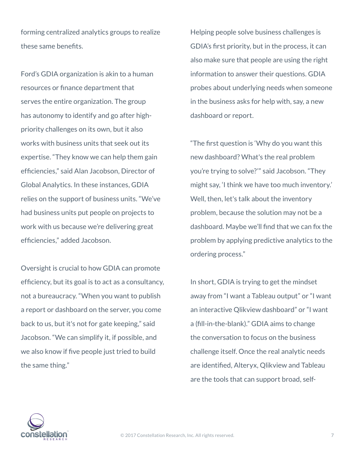forming centralized analytics groups to realize these same benefts.

Ford's GDIA organization is akin to a human resources or fnance department that serves the entire organization. The group has autonomy to identify and go after highpriority challenges on its own, but it also works with business units that seek out its expertise. "They know we can help them gain effciencies," said Alan Jacobson, Director of Global Analytics. In these instances, GDIA relies on the support of business units. "We've had business units put people on projects to work with us because we're delivering great effciencies," added Jacobson.

Oversight is crucial to how GDIA can promote effciency, but its goal is to act as a consultancy, not a bureaucracy. "When you want to publish a report or dashboard on the server, you come back to us, but it's not for gate keeping," said Jacobson. "We can simplify it, if possible, and we also know if fve people just tried to build the same thing."

Helping people solve business challenges is GDIA's frst priority, but in the process, it can also make sure that people are using the right information to answer their questions. GDIA probes about underlying needs when someone in the business asks for help with, say, a new dashboard or report.

"The frst question is 'Why do you want this new dashboard? What's the real problem you're trying to solve?'" said Jacobson. "They might say, 'I think we have too much inventory.' Well, then, let's talk about the inventory problem, because the solution may not be a dashboard. Maybe we'll find that we can fix the problem by applying predictive analytics to the ordering process."

In short, GDIA is trying to get the mindset away from "I want a Tableau output" or "I want an interactive Qlikview dashboard" or "I want a (fll-in-the-blank)." GDIA aims to change the conversation to focus on the business challenge itself. Once the real analytic needs are identifed, Alteryx, Qlikview and Tableau are the tools that can support broad, self-

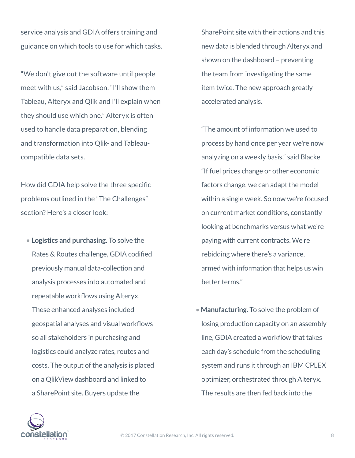service analysis and GDIA offers training and guidance on which tools to use for which tasks.

"We don't give out the software until people meet with us," said Jacobson. "I'll show them Tableau, Alteryx and Qlik and I'll explain when they should use which one." Alteryx is often used to handle data preparation, blending and transformation into Qlik- and Tableaucompatible data sets.

How did GDIA help solve the three specifc problems outlined in the "The Challenges" section? Here's a closer look:

• **Logistics and purchasing.** To solve the Rates & Routes challenge, GDIA codifed previously manual data-collection and analysis processes into automated and repeatable workflows using Alteryx. These enhanced analyses included geospatial analyses and visual workfows so all stakeholders in purchasing and logistics could analyze rates, routes and costs. The output of the analysis is placed on a QlikView dashboard and linked to a SharePoint site. Buyers update the

SharePoint site with their actions and this new data is blended through Alteryx and shown on the dashboard – preventing the team from investigating the same item twice. The new approach greatly accelerated analysis.

"The amount of information we used to process by hand once per year we're now analyzing on a weekly basis," said Blacke. "If fuel prices change or other economic factors change, we can adapt the model within a single week. So now we're focused on current market conditions, constantly looking at benchmarks versus what we're paying with current contracts. We're rebidding where there's a variance, armed with information that helps us win better terms."

• **Manufacturing.** To solve the problem of losing production capacity on an assembly line, GDIA created a workflow that takes each day's schedule from the scheduling system and runs it through an IBM CPLEX optimizer, orchestrated through Alteryx. The results are then fed back into the

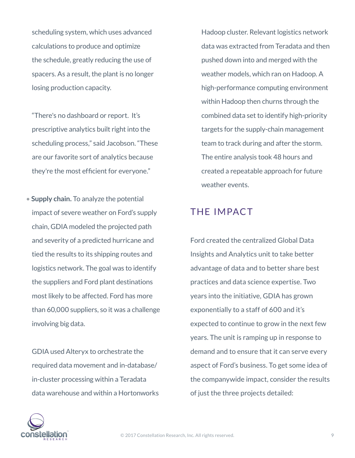<span id="page-8-0"></span>scheduling system, which uses advanced calculations to produce and optimize the schedule, greatly reducing the use of spacers. As a result, the plant is no longer losing production capacity.

"There's no dashboard or report. It's prescriptive analytics built right into the scheduling process," said Jacobson. "These are our favorite sort of analytics because they're the most effcient for everyone."

• **Supply chain.** To analyze the potential impact of severe weather on Ford's supply chain, GDIA modeled the projected path and severity of a predicted hurricane and tied the results to its shipping routes and logistics network. The goal was to identify the suppliers and Ford plant destinations most likely to be affected. Ford has more than 60,000 suppliers, so it was a challenge involving big data.

GDIA used Alteryx to orchestrate the required data movement and in-database/ in-cluster processing within a Teradata data warehouse and within a Hortonworks

Hadoop cluster. Relevant logistics network data was extracted from Teradata and then pushed down into and merged with the weather models, which ran on Hadoop. A high-performance computing environment within Hadoop then churns through the combined data set to identify high-priority targets for the supply-chain management team to track during and after the storm. The entire analysis took 48 hours and created a repeatable approach for future weather events.

# THE IMPACT

Ford created the centralized Global Data Insights and Analytics unit to take better advantage of data and to better share best practices and data science expertise. Two years into the initiative, GDIA has grown exponentially to a staff of 600 and it's expected to continue to grow in the next few years. The unit is ramping up in response to demand and to ensure that it can serve every aspect of Ford's business. To get some idea of the companywide impact, consider the results of just the three projects detailed:

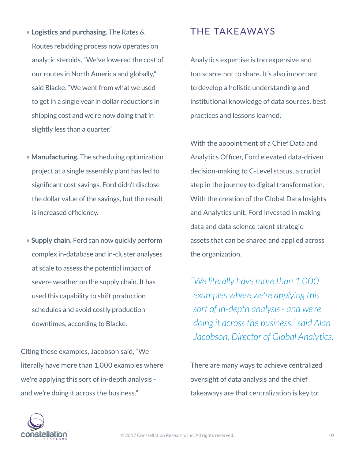- <span id="page-9-0"></span>• **Logistics and purchasing.** The Rates & Routes rebidding process now operates on analytic steroids. "We've lowered the cost of our routes in North America and globally," said Blacke. "We went from what we used to get in a single year in dollar reductions in shipping cost and we're now doing that in slightly less than a quarter."
- **Manufacturing.** The scheduling optimization project at a single assembly plant has led to signifcant cost savings. Ford didn't disclose the dollar value of the savings, but the result is increased effciency.
- **Supply chain.** Ford can now quickly perform complex in-database and in-cluster analyses at scale to assess the potential impact of severe weather on the supply chain. It has used this capability to shift production schedules and avoid costly production downtimes, according to Blacke.

Citing these examples, Jacobson said, "We literally have more than 1,000 examples where we're applying this sort of in-depth analysis and we're doing it across the business."

#### THE TAKE AWAYS

Analytics expertise is too expensive and too scarce not to share. It's also important to develop a holistic understanding and institutional knowledge of data sources, best practices and lessons learned.

With the appointment of a Chief Data and Analytics Offcer, Ford elevated data-driven decision-making to C-Level status, a crucial step in the journey to digital transformation. With the creation of the Global Data Insights and Analytics unit, Ford invested in making data and data science talent strategic assets that can be shared and applied across the organization.

*"We literally have more than 1,000 examples where we're applying this sort of in-depth analysis - and we're doing it across the business," said Alan Jacobson, Director of Global Analytics.* 

There are many ways to achieve centralized oversight of data analysis and the chief takeaways are that centralization is key to:

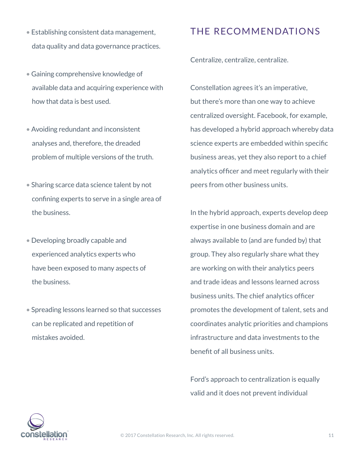- <span id="page-10-0"></span>• Establishing consistent data management, data quality and data governance practices.
- Gaining comprehensive knowledge of available data and acquiring experience with how that data is best used.
- Avoiding redundant and inconsistent analyses and, therefore, the dreaded problem of multiple versions of the truth.
- Sharing scarce data science talent by not confning experts to serve in a single area of the business.
- Developing broadly capable and experienced analytics experts who have been exposed to many aspects of the business.
- Spreading lessons learned so that successes can be replicated and repetition of mistakes avoided.

## THE RECOMMENDATIONS

Centralize, centralize, centralize.

Constellation agrees it's an imperative, but there's more than one way to achieve centralized oversight. Facebook, for example, has developed a hybrid approach whereby data science experts are embedded within specifc business areas, yet they also report to a chief analytics offcer and meet regularly with their peers from other business units.

In the hybrid approach, experts develop deep expertise in one business domain and are always available to (and are funded by) that group. They also regularly share what they are working on with their analytics peers and trade ideas and lessons learned across business units. The chief analytics offcer promotes the development of talent, sets and coordinates analytic priorities and champions infrastructure and data investments to the beneft of all business units.

Ford's approach to centralization is equally valid and it does not prevent individual

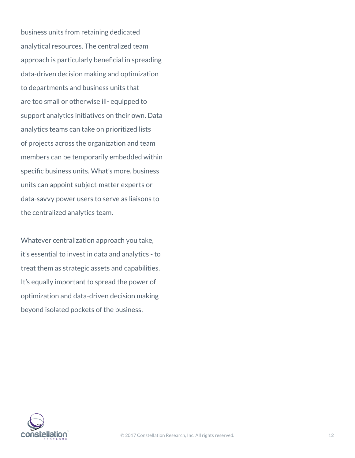business units from retaining dedicated analytical resources. The centralized team approach is particularly benefcial in spreading data-driven decision making and optimization to departments and business units that are too small or otherwise ill- equipped to support analytics initiatives on their own. Data analytics teams can take on prioritized lists of projects across the organization and team members can be temporarily embedded within specifc business units. What's more, business units can appoint subject-matter experts or data-savvy power users to serve as liaisons to the centralized analytics team.

Whatever centralization approach you take, it's essential to invest in data and analytics - to treat them as strategic assets and capabilities. It's equally important to spread the power of optimization and data-driven decision making beyond isolated pockets of the business.

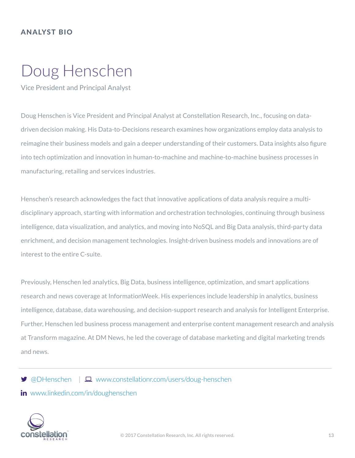#### <span id="page-12-0"></span>ANALYST BIO

# Doug Henschen

Vice President and Principal Analyst

Doug Henschen is Vice President and Principal Analyst at Constellation Research, Inc., focusing on datadriven decision making. His Data-to-Decisions research examines how organizations employ data analysis to reimagine their business models and gain a deeper understanding of their customers. Data insights also fgure into tech optimization and innovation in human-to-machine and machine-to-machine business processes in manufacturing, retailing and services industries.

Henschen's research acknowledges the fact that innovative applications of data analysis require a multidisciplinary approach, starting with information and orchestration technologies, continuing through business intelligence, data visualization, and analytics, and moving into NoSQL and Big Data analysis, third-party data enrichment, and decision management technologies. Insight-driven business models and innovations are of interest to the entire C-suite.

Previously, Henschen led analytics, Big Data, business intelligence, optimization, and smart applications research and news coverage at InformationWeek. His experiences include leadership in analytics, business intelligence, database, data warehousing, and decision-support research and analysis for Intelligent Enterprise. Further, Henschen led business process management and enterprise content management research and analysis at Transform magazine. At DM News, he led the coverage of database marketing and digital marketing trends and news.

 $\Box$  @DHenschen |  $\Box$  www.constellationr.com/users/doug-henschen

**in** www.linkedin.com/in/doughenschen



© 2017 Constellation Research, Inc. All rights reserved. 13